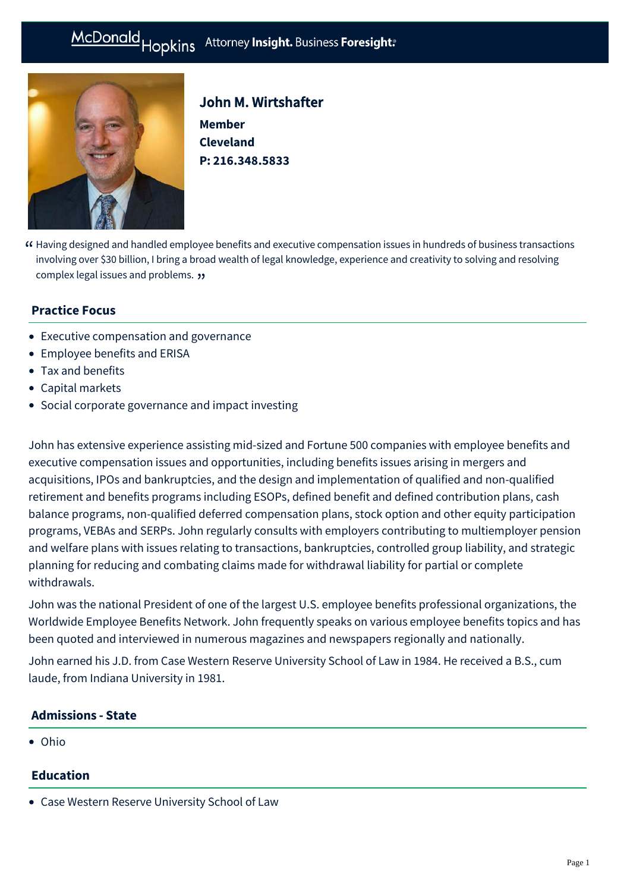# McDonald Hopkins Attorney Insight. Business Foresight:



# John M. Wirtshafter

**Member Cleveland P: [216.348.5833](tel:216.348.5833)**

Having designed and handled employee benefits and executive compensation issues in hundreds of business transactions " involving over \$30 billion, I bring a broad wealth of legal knowledge, experience and creativity to solving and resolving complex legal issues and problems. "

## **Practice Focus**

- [Executive compensation and governance](https://mcdonaldhopkins.com/Expertise/Tax-and-benefits/Executive-compensation-and-governance)
- [Employee benefits and ERISA](https://mcdonaldhopkins.com/Expertise/Tax-and-benefits/Employee-benefits-and-ERISA)
- [Tax and benefits](https://mcdonaldhopkins.com/Expertise/Tax-and-benefits)
- [Capital markets](https://mcdonaldhopkins.com/Expertise/Finance/Capital-markets)
- [Social corporate governance and impact investing](https://mcdonaldhopkins.com/Expertise/Business-counseling/Social-Corporate-Governance-and-Impact-Investing)

John has extensive experience assisting mid-sized and Fortune 500 companies with employee benefits and executive compensation issues and opportunities, including benefits issues arising in mergers and acquisitions, IPOs and bankruptcies, and the design and implementation of qualified and non-qualified retirement and benefits programs including ESOPs, defined benefit and defined contribution plans, cash balance programs, non-qualified deferred compensation plans, stock option and other equity participation programs, VEBAs and SERPs. John regularly consults with employers contributing to multiemployer pension and welfare plans with issues relating to transactions, bankruptcies, controlled group liability, and strategic planning for reducing and combating claims made for withdrawal liability for partial or complete withdrawals.

John was the national President of one of the largest U.S. employee benefits professional organizations, the Worldwide Employee Benefits Network. John frequently speaks on various employee benefits topics and has been quoted and interviewed in numerous magazines and newspapers regionally and nationally.

John earned his J.D. from Case Western Reserve University School of Law in 1984. He received a B.S., cum laude, from Indiana University in 1981.

#### **Admissions - State**

Ohio

#### **Education**

Case Western Reserve University School of Law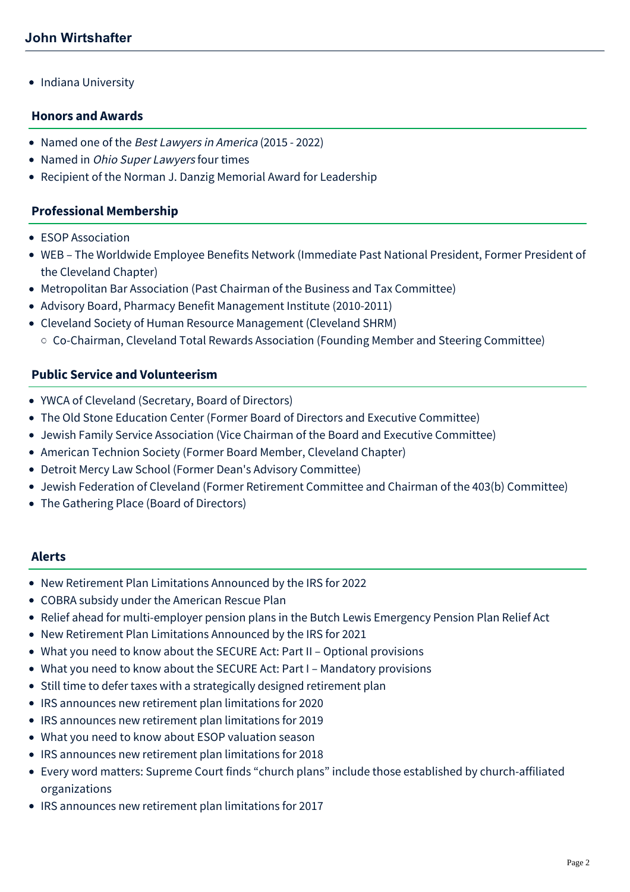• Indiana University

#### **Honors and Awards**

- Named one of the Best Lawyers in America (2015 2022)
- Named in *Ohio Super Lawyers* four times
- Recipient of the Norman J. Danzig Memorial Award for Leadership

#### **Professional Membership**

- **ESOP Association**
- WEB The Worldwide Employee Benefits Network (Immediate Past National President, Former President of the Cleveland Chapter)
- Metropolitan Bar Association (Past Chairman of the Business and Tax Committee)
- Advisory Board, Pharmacy Benefit Management Institute (2010-2011)
- Cleveland Society of Human Resource Management (Cleveland SHRM)
	- Co-Chairman, Cleveland Total Rewards Association (Founding Member and Steering Committee)

#### **Public Service and Volunteerism**

- YWCA of Cleveland (Secretary, Board of Directors)
- The Old Stone Education Center (Former Board of Directors and Executive Committee)
- Jewish Family Service Association (Vice Chairman of the Board and Executive Committee)
- American Technion Society (Former Board Member, Cleveland Chapter)
- Detroit Mercy Law School (Former Dean's Advisory Committee)
- Jewish Federation of Cleveland (Former Retirement Committee and Chairman of the 403(b) Committee)
- The Gathering Place (Board of Directors)

#### **Alerts**

- [New Retirement Plan Limitations Announced by the IRS for 2022](https://mcdonaldhopkins.com/Insights/November-2021/New-Retirement-Plan-Limitations-2022)
- [COBRA subsidy under the American Rescue Plan](https://mcdonaldhopkins.com/Insights/March-2021/COBRA-subsidy-under-the-American-Rescue-Plan)
- [Relief ahead for multi-employer pension plans in the Butch Lewis Emergency Pension Plan Relief Act](https://mcdonaldhopkins.com/Insights/March-2021/Relief-ahead-for-multi-employer-pension-plans-in-t)
- [New Retirement Plan Limitations Announced by the IRS for 2021](https://mcdonaldhopkins.com/Insights/October-2020/New-Retirement-Plan-Limitations-Announced-by-the-I)
- [What you need to know about the SECURE Act: Part II Optional provisions](https://mcdonaldhopkins.com/Insights/February-2020/What-you-need-to-know-about-the-SECURE-Act-Part-II)
- [What you need to know about the SECURE Act: Part I Mandatory provisions](https://mcdonaldhopkins.com/Insights/February-2020/What-you-need-to-know-about-the-SECURE-Act-Part-I)
- [Still time to defer taxes with a strategically designed retirement plan](https://mcdonaldhopkins.com/Insights/November-2019/Still-time-to-defer-taxes-with-a-strategically-des)
- [IRS announces new retirement plan limitations for 2020](https://mcdonaldhopkins.com/Insights/November-2019/IRS-announces-new-retirement-plan-limitations-for)
- [IRS announces new retirement plan limitations for 2019](https://mcdonaldhopkins.com/Insights/November-2018/IRS-announces-new-retirement-plan-limitations-for)
- [What you need to know about ESOP valuation season](https://mcdonaldhopkins.com/Insights/March-2018/What-you-need-to-know-about-ESOP-valuation-season)
- [IRS announces new retirement plan limitations for 2018](https://mcdonaldhopkins.com/Insights/October-2017/IRS-announces-new-retirement-plan-limitations-for)
- [Every word matters: Supreme Court finds "church plans" include those established by church-affiliated](https://mcdonaldhopkins.com/Insights/June-2017/Supreme-Court-finds-church-plans-include-those-est) organizations
- [IRS announces new retirement plan limitations for 2017](https://mcdonaldhopkins.com/Insights/October-2016/IRS-announces-new-retirement-plan-limitations-for)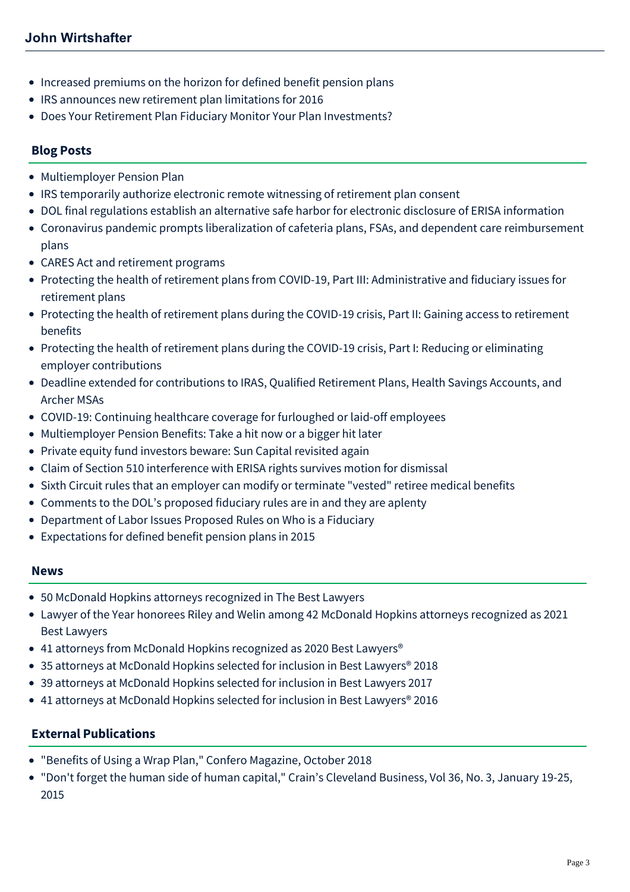- [Increased premiums on the horizon for defined benefit pension plans](https://mcdonaldhopkins.com/Insights/November-2015/Increased-premiums-on-the-horizon-for-defined-bene)
- [IRS announces new retirement plan limitations for 2016](https://mcdonaldhopkins.com/Insights/October-2015/IRS-announces-new-retirement-plan-limitations-for)
- [Does Your Retirement Plan Fiduciary Monitor Your Plan Investments?](https://mcdonaldhopkins.com/Insights/May-2015/Employee-Benefits-Alert-Does-Your-Retirement-Plan)

#### **Blog Posts**

- [Multiemployer Pension Plan](https://mcdonaldhopkins.com/Insights/June-2021/Multiemployer-Pension-Plan)
- [IRS temporarily authorize electronic remote witnessing of retirement plan consent](https://mcdonaldhopkins.com/Insights/June-2020-(1)/IRS-temporarily-authorize-electronic-remote-witnes)
- [DOL final regulations establish an alternative safe harbor for electronic disclosure of ERISA information](https://mcdonaldhopkins.com/Insights/June-2020-(1)/DOL-final-regulations-establish-an-alternative-saf)
- [Coronavirus pandemic prompts liberalization of cafeteria plans, FSAs, and dependent care reimbursement](https://mcdonaldhopkins.com/Insights/May-2020/Coronavirus-pandemic-prompts-liberalization-of-caf) plans
- [CARES Act and retirement programs](https://mcdonaldhopkins.com/Insights/April-2020/CARES-Act-and-retirement-programs)
- [Protecting the health of retirement plans from COVID-19, Part III: Administrative and fiduciary issues for](https://mcdonaldhopkins.com/Insights/April-2020/Protecting-the-health-of-retirement-plans-from-COV) retirement plans
- [Protecting the health of retirement plans during the COVID-19 crisis, Part II: Gaining access to retirement](https://mcdonaldhopkins.com/Insights/March-2020/Protecting-the-health-of-retirement-plans-duri-(1)) benefits
- [Protecting the health of retirement plans during the COVID-19 crisis, Part I: Reducing or eliminating](https://mcdonaldhopkins.com/Insights/March-2020/Protecting-the-health-of-retirement-plans-during-t) employer contributions
- [Deadline extended for contributions to IRAS, Qualified Retirement Plans, Health Savings Accounts, and](https://mcdonaldhopkins.com/Insights/March-2020/Deadline-extended-for-contributions-to-IRAS-Qualif) Archer MSAs
- [COVID-19: Continuing healthcare coverage for furloughed or laid-off employees](https://mcdonaldhopkins.com/Insights/March-2020/COVID-19-Continuing-healthcare-coverage-for-furlou)
- [Multiemployer Pension Benefits: Take a hit now or a bigger hit later](https://mcdonaldhopkins.com/Insights/December-2016/Multiemployer-Pension-Benefits-The-decision-to-tak)
- [Private equity fund investors beware: Sun Capital revisited again](https://mcdonaldhopkins.com/Insights/April-2016/Private-equity-fund-investors-beware-Sun-Capital-r)
- [Claim of Section 510 interference with ERISA rights survives motion for dismissal](https://mcdonaldhopkins.com/Insights/February-2016/Claim-of-Section-510-interference-with-ERISA-right)
- [Sixth Circuit rules that an employer can modify or terminate "vested" retiree medical benefits](https://mcdonaldhopkins.com/Insights/February-2016/Sixth-Circuit-rules-that-an-employer-can-modify-or)
- [Comments to the DOL's proposed fiduciary rules are in and they are aplenty](https://mcdonaldhopkins.com/Insights/July-2015/Comments-to-the-DOL%E2%80%99s-proposed-fiduciary-rules-are)
- [Department of Labor Issues Proposed Rules on Who is a Fiduciary](https://mcdonaldhopkins.com/Insights/April-2015/Department-of-Labor-Issues-Proposed-Rules-on-Who-i)
- [Expectations for defined benefit pension plans in 2015](https://mcdonaldhopkins.com/Insights/January-2015/Expectations-for-defined-benefit-pension-plans-in)

#### **News**

- [50 McDonald Hopkins attorneys recognized in The Best Lawyers](https://mcdonaldhopkins.com/Insights/August-2021/50-McDonald-Hopkins-attorneys-recognized-in-The-Be)
- [Lawyer of the Year honorees Riley and Welin among 42 McDonald Hopkins attorneys recognized as 2021](https://mcdonaldhopkins.com/Insights/August-2020/Lawyer-of-the-Year-honorees-Riley-and-Welin-among) Best Lawyers
- 41 attorneys from McDonald Hopkins recognized as 2020 Best Lawyers<sup>®</sup>
- [35 attorneys at McDonald Hopkins selected for inclusion in Best Lawyers® 2018](https://mcdonaldhopkins.com/Insights/August-2017/35-attorneys-at-McDonald-Hopkins-selected-for-incl)
- [39 attorneys at McDonald Hopkins selected for inclusion in Best Lawyers 2017](https://mcdonaldhopkins.com/Insights/August-2016/39-attorneys-at-McDonald-Hopkins-selected-for-incl)
- [41 attorneys at McDonald Hopkins selected for inclusion in Best Lawyers® 2016](https://mcdonaldhopkins.com/Insights/August-2015/33-attorneys-at-McDonald-Hopkins-selected-for-incl)

#### **External Publications**

- "[Benefits of Using a Wrap Plan,](http://westminster-consulting.com/Media/Confero/Issue24/benefits-of-using-a-wrap-plan)" Confero Magazine, October 2018
- "Don't forget the human side of human capital," Crain's Cleveland Business, Vol 36, No. 3, January 19-25, 2015